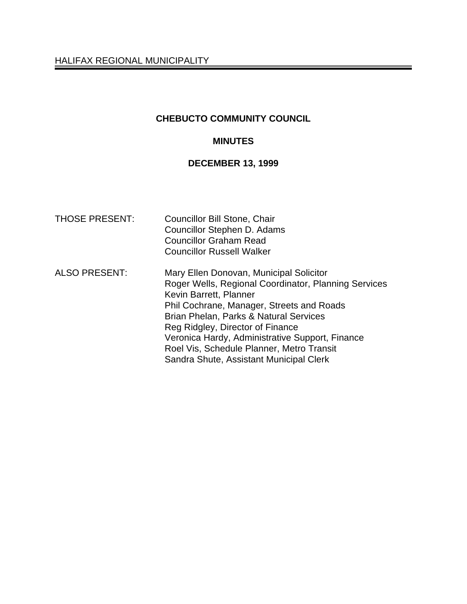# **CHEBUCTO COMMUNITY COUNCIL**

# **MINUTES**

# **DECEMBER 13, 1999**

| <b>THOSE PRESENT:</b> | <b>Councillor Bill Stone, Chair</b><br>Councillor Stephen D. Adams<br><b>Councillor Graham Read</b><br><b>Councillor Russell Walker</b>                                                                                                                                                                                                                                                         |
|-----------------------|-------------------------------------------------------------------------------------------------------------------------------------------------------------------------------------------------------------------------------------------------------------------------------------------------------------------------------------------------------------------------------------------------|
| <b>ALSO PRESENT:</b>  | Mary Ellen Donovan, Municipal Solicitor<br>Roger Wells, Regional Coordinator, Planning Services<br>Kevin Barrett, Planner<br>Phil Cochrane, Manager, Streets and Roads<br>Brian Phelan, Parks & Natural Services<br>Reg Ridgley, Director of Finance<br>Veronica Hardy, Administrative Support, Finance<br>Roel Vis, Schedule Planner, Metro Transit<br>Sandra Shute, Assistant Municipal Clerk |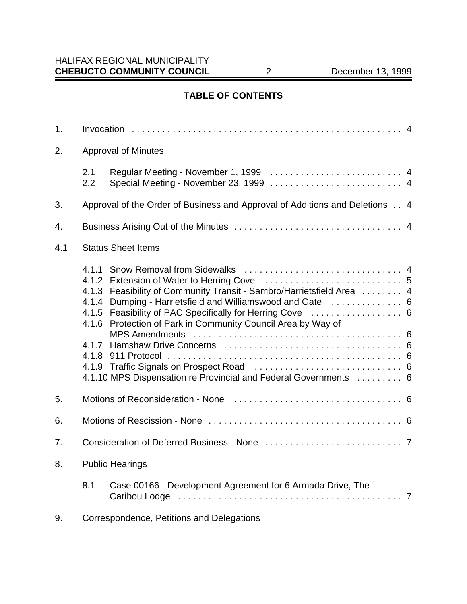# **TABLE OF CONTENTS**

| 1.                               |                            |                                                                                                                                                                                                                                                                        |  |
|----------------------------------|----------------------------|------------------------------------------------------------------------------------------------------------------------------------------------------------------------------------------------------------------------------------------------------------------------|--|
| 2.                               | <b>Approval of Minutes</b> |                                                                                                                                                                                                                                                                        |  |
|                                  | 2.1<br>2.2                 |                                                                                                                                                                                                                                                                        |  |
| 3.                               |                            | Approval of the Order of Business and Approval of Additions and Deletions 4                                                                                                                                                                                            |  |
| 4.                               |                            |                                                                                                                                                                                                                                                                        |  |
| 4.1<br><b>Status Sheet Items</b> |                            |                                                                                                                                                                                                                                                                        |  |
|                                  | 4.1.4                      | 4.1.3 Feasibility of Community Transit - Sambro/Harrietsfield Area  4<br>4.1.5 Feasibility of PAC Specifically for Herring Cove  6<br>4.1.6 Protection of Park in Community Council Area by Way of<br>4.1.10 MPS Dispensation re Provincial and Federal Governments  6 |  |
| 5.                               |                            |                                                                                                                                                                                                                                                                        |  |
| 6.                               |                            |                                                                                                                                                                                                                                                                        |  |
| 7.                               |                            |                                                                                                                                                                                                                                                                        |  |
| 8.                               |                            | <b>Public Hearings</b>                                                                                                                                                                                                                                                 |  |
|                                  | 8.1                        | Case 00166 - Development Agreement for 6 Armada Drive, The                                                                                                                                                                                                             |  |
| 9.                               |                            | Correspondence, Petitions and Delegations                                                                                                                                                                                                                              |  |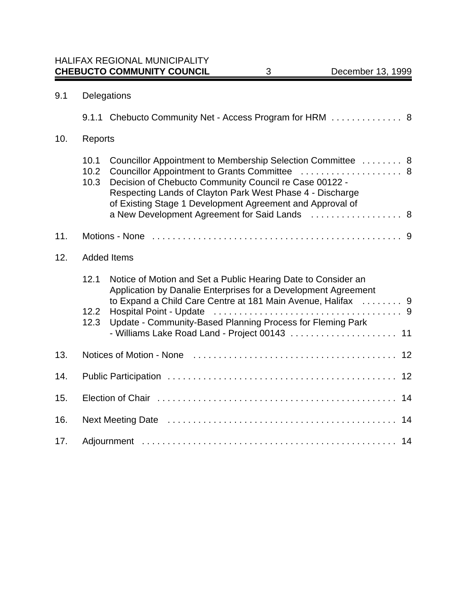| 9.1 | Delegations          |                                                                                                                                                                                                                                                 |  |
|-----|----------------------|-------------------------------------------------------------------------------------------------------------------------------------------------------------------------------------------------------------------------------------------------|--|
|     |                      | 9.1.1 Chebucto Community Net - Access Program for HRM 8                                                                                                                                                                                         |  |
| 10. | Reports              |                                                                                                                                                                                                                                                 |  |
|     | 10.1<br>10.2<br>10.3 | Councillor Appointment to Membership Selection Committee  8<br>Decision of Chebucto Community Council re Case 00122 -<br>Respecting Lands of Clayton Park West Phase 4 - Discharge<br>of Existing Stage 1 Development Agreement and Approval of |  |
|     |                      | a New Development Agreement for Said Lands  8                                                                                                                                                                                                   |  |
| 11. |                      |                                                                                                                                                                                                                                                 |  |
| 12. |                      | <b>Added Items</b>                                                                                                                                                                                                                              |  |
|     | 12.1                 | Notice of Motion and Set a Public Hearing Date to Consider an<br>Application by Danalie Enterprises for a Development Agreement<br>to Expand a Child Care Centre at 181 Main Avenue, Halifax  9                                                 |  |
|     | 12.2<br>12.3         | Update - Community-Based Planning Process for Fleming Park<br>- Williams Lake Road Land - Project 00143  11                                                                                                                                     |  |
| 13. |                      |                                                                                                                                                                                                                                                 |  |
| 14. |                      |                                                                                                                                                                                                                                                 |  |
| 15. |                      |                                                                                                                                                                                                                                                 |  |
| 16. |                      |                                                                                                                                                                                                                                                 |  |
| 17. |                      |                                                                                                                                                                                                                                                 |  |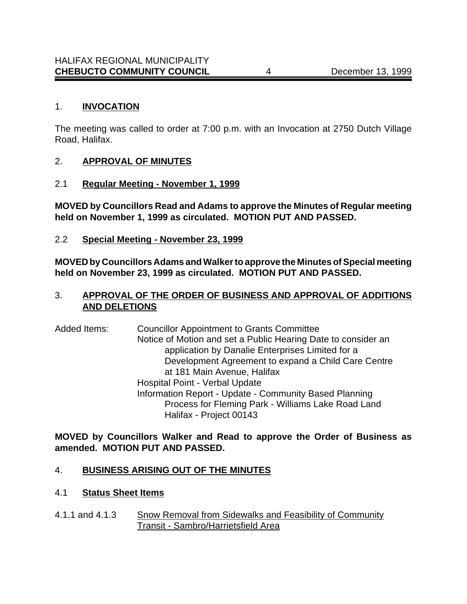### 1. **INVOCATION**

The meeting was called to order at 7:00 p.m. with an Invocation at 2750 Dutch Village Road, Halifax.

### 2. **APPROVAL OF MINUTES**

2.1 **Regular Meeting - November 1, 1999**

**MOVED by Councillors Read and Adams to approve the Minutes of Regular meeting held on November 1, 1999 as circulated. MOTION PUT AND PASSED.**

2.2 **Special Meeting - November 23, 1999**

**MOVED by Councillors Adams and Walker to approve the Minutes of Special meeting held on November 23, 1999 as circulated. MOTION PUT AND PASSED.**

## 3. **APPROVAL OF THE ORDER OF BUSINESS AND APPROVAL OF ADDITIONS AND DELETIONS**

Added Items: Councillor Appointment to Grants Committee Notice of Motion and set a Public Hearing Date to consider an application by Danalie Enterprises Limited for a Development Agreement to expand a Child Care Centre at 181 Main Avenue, Halifax Hospital Point - Verbal Update Information Report - Update - Community Based Planning Process for Fleming Park - Williams Lake Road Land Halifax - Project 00143

**MOVED by Councillors Walker and Read to approve the Order of Business as amended. MOTION PUT AND PASSED.**

# 4. **BUSINESS ARISING OUT OF THE MINUTES**

### 4.1 **Status Sheet Items**

4.1.1 and 4.1.3 Snow Removal from Sidewalks and Feasibility of Community Transit - Sambro/Harrietsfield Area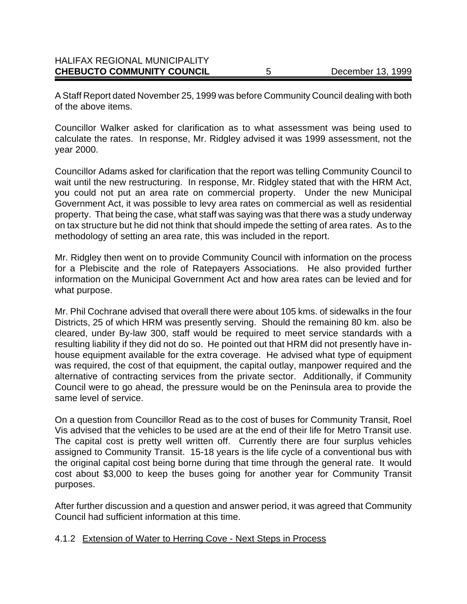| <b>CHEBUCTO COMMUNITY COUNCIL</b>    | December 13, 1999 |
|--------------------------------------|-------------------|
| <b>HALIFAX REGIONAL MUNICIPALITY</b> |                   |

A Staff Report dated November 25, 1999 was before Community Council dealing with both of the above items.

Councillor Walker asked for clarification as to what assessment was being used to calculate the rates. In response, Mr. Ridgley advised it was 1999 assessment, not the year 2000.

Councillor Adams asked for clarification that the report was telling Community Council to wait until the new restructuring. In response, Mr. Ridgley stated that with the HRM Act, you could not put an area rate on commercial property. Under the new Municipal Government Act, it was possible to levy area rates on commercial as well as residential property. That being the case, what staff was saying was that there was a study underway on tax structure but he did not think that should impede the setting of area rates. As to the methodology of setting an area rate, this was included in the report.

Mr. Ridgley then went on to provide Community Council with information on the process for a Plebiscite and the role of Ratepayers Associations. He also provided further information on the Municipal Government Act and how area rates can be levied and for what purpose.

Mr. Phil Cochrane advised that overall there were about 105 kms. of sidewalks in the four Districts, 25 of which HRM was presently serving. Should the remaining 80 km. also be cleared, under By-law 300, staff would be required to meet service standards with a resulting liability if they did not do so. He pointed out that HRM did not presently have inhouse equipment available for the extra coverage. He advised what type of equipment was required, the cost of that equipment, the capital outlay, manpower required and the alternative of contracting services from the private sector. Additionally, if Community Council were to go ahead, the pressure would be on the Peninsula area to provide the same level of service.

On a question from Councillor Read as to the cost of buses for Community Transit, Roel Vis advised that the vehicles to be used are at the end of their life for Metro Transit use. The capital cost is pretty well written off. Currently there are four surplus vehicles assigned to Community Transit. 15-18 years is the life cycle of a conventional bus with the original capital cost being borne during that time through the general rate. It would cost about \$3,000 to keep the buses going for another year for Community Transit purposes.

After further discussion and a question and answer period, it was agreed that Community Council had sufficient information at this time.

### 4.1.2 Extension of Water to Herring Cove - Next Steps in Process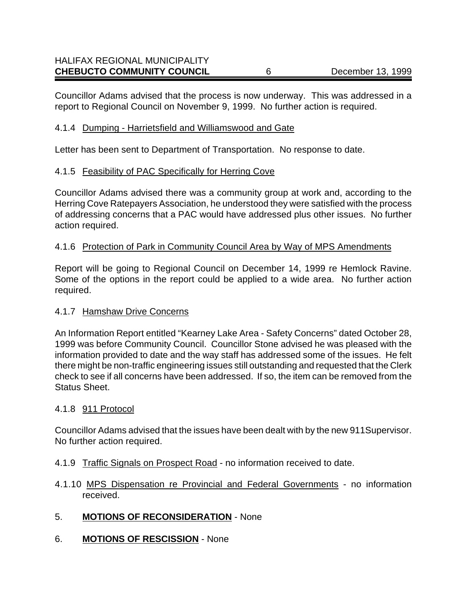Councillor Adams advised that the process is now underway. This was addressed in a report to Regional Council on November 9, 1999. No further action is required.

#### 4.1.4 Dumping - Harrietsfield and Williamswood and Gate

Letter has been sent to Department of Transportation. No response to date.

#### 4.1.5 Feasibility of PAC Specifically for Herring Cove

Councillor Adams advised there was a community group at work and, according to the Herring Cove Ratepayers Association, he understood they were satisfied with the process of addressing concerns that a PAC would have addressed plus other issues. No further action required.

#### 4.1.6 Protection of Park in Community Council Area by Way of MPS Amendments

Report will be going to Regional Council on December 14, 1999 re Hemlock Ravine. Some of the options in the report could be applied to a wide area. No further action required.

#### 4.1.7 Hamshaw Drive Concerns

An Information Report entitled "Kearney Lake Area - Safety Concerns" dated October 28, 1999 was before Community Council. Councillor Stone advised he was pleased with the information provided to date and the way staff has addressed some of the issues. He felt there might be non-traffic engineering issues still outstanding and requested that the Clerk check to see if all concerns have been addressed. If so, the item can be removed from the Status Sheet.

#### 4.1.8 911 Protocol

Councillor Adams advised that the issues have been dealt with by the new 911Supervisor. No further action required.

- 4.1.9 Traffic Signals on Prospect Road no information received to date.
- 4.1.10 MPS Dispensation re Provincial and Federal Governments no information received.
- 5. **MOTIONS OF RECONSIDERATION** None
- 6. **MOTIONS OF RESCISSION** None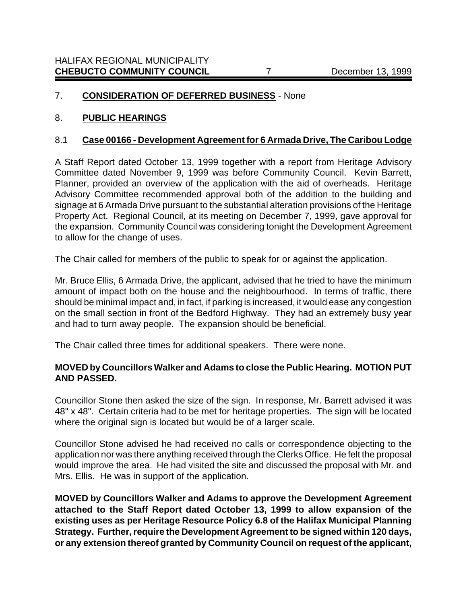# 7. **CONSIDERATION OF DEFERRED BUSINESS** - None

### 8. **PUBLIC HEARINGS**

#### 8.1 **Case 00166 - Development Agreement for 6 Armada Drive, The Caribou Lodge**

A Staff Report dated October 13, 1999 together with a report from Heritage Advisory Committee dated November 9, 1999 was before Community Council. Kevin Barrett, Planner, provided an overview of the application with the aid of overheads. Heritage Advisory Committee recommended approval both of the addition to the building and signage at 6 Armada Drive pursuant to the substantial alteration provisions of the Heritage Property Act. Regional Council, at its meeting on December 7, 1999, gave approval for the expansion. Community Council was considering tonight the Development Agreement to allow for the change of uses.

The Chair called for members of the public to speak for or against the application.

Mr. Bruce Ellis, 6 Armada Drive, the applicant, advised that he tried to have the minimum amount of impact both on the house and the neighbourhood. In terms of traffic, there should be minimal impact and, in fact, if parking is increased, it would ease any congestion on the small section in front of the Bedford Highway. They had an extremely busy year and had to turn away people. The expansion should be beneficial.

The Chair called three times for additional speakers. There were none.

### **MOVED by Councillors Walker and Adams to close the Public Hearing. MOTION PUT AND PASSED.**

Councillor Stone then asked the size of the sign. In response, Mr. Barrett advised it was 48" x 48". Certain criteria had to be met for heritage properties. The sign will be located where the original sign is located but would be of a larger scale.

Councillor Stone advised he had received no calls or correspondence objecting to the application nor was there anything received through the Clerks Office. He felt the proposal would improve the area. He had visited the site and discussed the proposal with Mr. and Mrs. Ellis. He was in support of the application.

**MOVED by Councillors Walker and Adams to approve the Development Agreement attached to the Staff Report dated October 13, 1999 to allow expansion of the existing uses as per Heritage Resource Policy 6.8 of the Halifax Municipal Planning Strategy. Further, require the Development Agreement to be signed within 120 days, or any extension thereof granted by Community Council on request of the applicant,**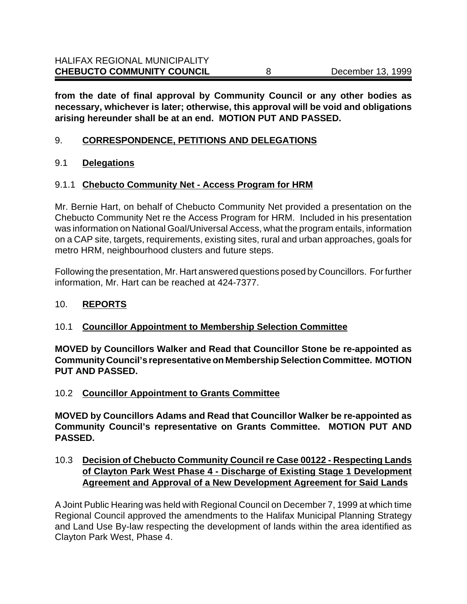**from the date of final approval by Community Council or any other bodies as necessary, whichever is later; otherwise, this approval will be void and obligations arising hereunder shall be at an end. MOTION PUT AND PASSED.**

# 9. **CORRESPONDENCE, PETITIONS AND DELEGATIONS**

## 9.1 **Delegations**

## 9.1.1 **Chebucto Community Net - Access Program for HRM**

Mr. Bernie Hart, on behalf of Chebucto Community Net provided a presentation on the Chebucto Community Net re the Access Program for HRM. Included in his presentation was information on National Goal/Universal Access, what the program entails, information on a CAP site, targets, requirements, existing sites, rural and urban approaches, goals for metro HRM, neighbourhood clusters and future steps.

Following the presentation, Mr. Hart answered questions posed by Councillors. For further information, Mr. Hart can be reached at 424-7377.

### 10. **REPORTS**

# 10.1 **Councillor Appointment to Membership Selection Committee**

**MOVED by Councillors Walker and Read that Councillor Stone be re-appointed as Community Council's representative on Membership Selection Committee. MOTION PUT AND PASSED.**

### 10.2 **Councillor Appointment to Grants Committee**

**MOVED by Councillors Adams and Read that Councillor Walker be re-appointed as Community Council's representative on Grants Committee. MOTION PUT AND PASSED.**

# 10.3 **Decision of Chebucto Community Council re Case 00122 - Respecting Lands of Clayton Park West Phase 4 - Discharge of Existing Stage 1 Development Agreement and Approval of a New Development Agreement for Said Lands**

A Joint Public Hearing was held with Regional Council on December 7, 1999 at which time Regional Council approved the amendments to the Halifax Municipal Planning Strategy and Land Use By-law respecting the development of lands within the area identified as Clayton Park West, Phase 4.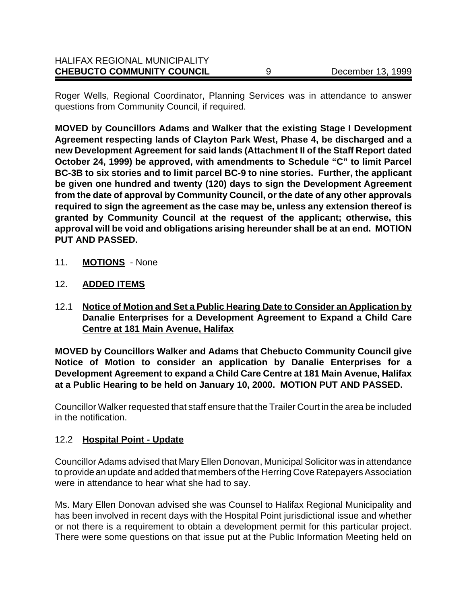| <b>CHEBUCTO COMMUNITY COUNCIL</b>    | December 13, 1999 |
|--------------------------------------|-------------------|
| <b>HALIFAX REGIONAL MUNICIPALITY</b> |                   |

Roger Wells, Regional Coordinator, Planning Services was in attendance to answer questions from Community Council, if required.

**MOVED by Councillors Adams and Walker that the existing Stage I Development Agreement respecting lands of Clayton Park West, Phase 4, be discharged and a new Development Agreement for said lands (Attachment II of the Staff Report dated October 24, 1999) be approved, with amendments to Schedule "C" to limit Parcel BC-3B to six stories and to limit parcel BC-9 to nine stories. Further, the applicant be given one hundred and twenty (120) days to sign the Development Agreement from the date of approval by Community Council, or the date of any other approvals required to sign the agreement as the case may be, unless any extension thereof is granted by Community Council at the request of the applicant; otherwise, this approval will be void and obligations arising hereunder shall be at an end. MOTION PUT AND PASSED.**

- 11. **MOTIONS** None
- 12. **ADDED ITEMS**
- 12.1 **Notice of Motion and Set a Public Hearing Date to Consider an Application by Danalie Enterprises for a Development Agreement to Expand a Child Care Centre at 181 Main Avenue, Halifax**

**MOVED by Councillors Walker and Adams that Chebucto Community Council give Notice of Motion to consider an application by Danalie Enterprises for a Development Agreement to expand a Child Care Centre at 181 Main Avenue, Halifax at a Public Hearing to be held on January 10, 2000. MOTION PUT AND PASSED.**

Councillor Walker requested that staff ensure that the Trailer Court in the area be included in the notification.

### 12.2 **Hospital Point - Update**

Councillor Adams advised that Mary Ellen Donovan, Municipal Solicitor was in attendance to provide an update and added that members of the Herring Cove Ratepayers Association were in attendance to hear what she had to say.

Ms. Mary Ellen Donovan advised she was Counsel to Halifax Regional Municipality and has been involved in recent days with the Hospital Point jurisdictional issue and whether or not there is a requirement to obtain a development permit for this particular project. There were some questions on that issue put at the Public Information Meeting held on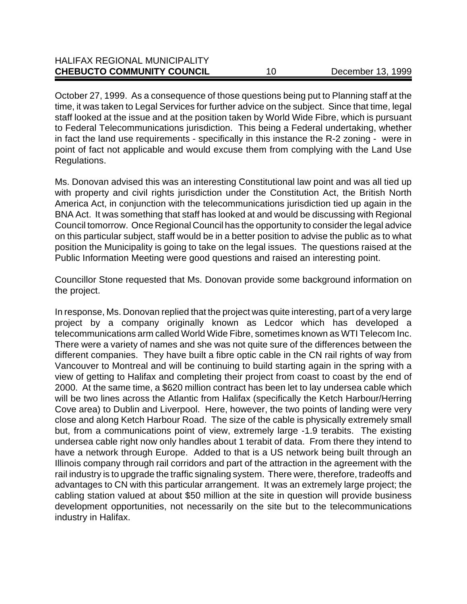October 27, 1999. As a consequence of those questions being put to Planning staff at the time, it was taken to Legal Services for further advice on the subject. Since that time, legal staff looked at the issue and at the position taken by World Wide Fibre, which is pursuant to Federal Telecommunications jurisdiction. This being a Federal undertaking, whether in fact the land use requirements - specifically in this instance the R-2 zoning - were in point of fact not applicable and would excuse them from complying with the Land Use Regulations.

Ms. Donovan advised this was an interesting Constitutional law point and was all tied up with property and civil rights jurisdiction under the Constitution Act, the British North America Act, in conjunction with the telecommunications jurisdiction tied up again in the BNA Act. It was something that staff has looked at and would be discussing with Regional Council tomorrow. Once Regional Council has the opportunity to consider the legal advice on this particular subject, staff would be in a better position to advise the public as to what position the Municipality is going to take on the legal issues. The questions raised at the Public Information Meeting were good questions and raised an interesting point.

Councillor Stone requested that Ms. Donovan provide some background information on the project.

In response, Ms. Donovan replied that the project was quite interesting, part of a very large project by a company originally known as Ledcor which has developed a telecommunications arm called World Wide Fibre, sometimes known as WTI Telecom Inc. There were a variety of names and she was not quite sure of the differences between the different companies. They have built a fibre optic cable in the CN rail rights of way from Vancouver to Montreal and will be continuing to build starting again in the spring with a view of getting to Halifax and completing their project from coast to coast by the end of 2000. At the same time, a \$620 million contract has been let to lay undersea cable which will be two lines across the Atlantic from Halifax (specifically the Ketch Harbour/Herring Cove area) to Dublin and Liverpool. Here, however, the two points of landing were very close and along Ketch Harbour Road. The size of the cable is physically extremely small but, from a communications point of view, extremely large -1.9 terabits. The existing undersea cable right now only handles about 1 terabit of data. From there they intend to have a network through Europe. Added to that is a US network being built through an Illinois company through rail corridors and part of the attraction in the agreement with the rail industry is to upgrade the traffic signaling system. There were, therefore, tradeoffs and advantages to CN with this particular arrangement. It was an extremely large project; the cabling station valued at about \$50 million at the site in question will provide business development opportunities, not necessarily on the site but to the telecommunications industry in Halifax.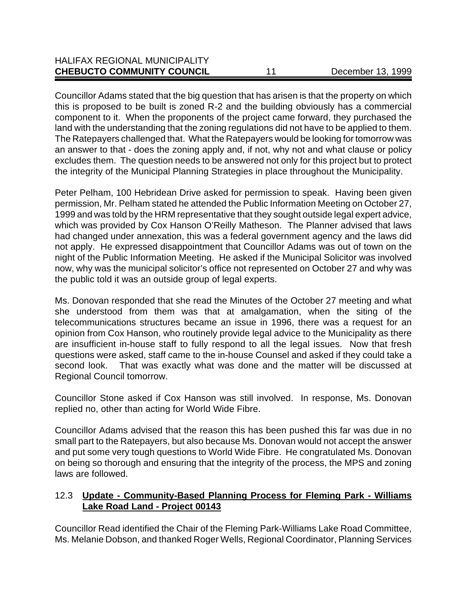| <b>CHEBUCTO COMMUNITY COUNCIL</b>    | December 13, 1999 |
|--------------------------------------|-------------------|
| <b>HALIFAX REGIONAL MUNICIPALITY</b> |                   |

Councillor Adams stated that the big question that has arisen is that the property on which this is proposed to be built is zoned R-2 and the building obviously has a commercial component to it. When the proponents of the project came forward, they purchased the land with the understanding that the zoning regulations did not have to be applied to them. The Ratepayers challenged that. What the Ratepayers would be looking for tomorrow was an answer to that - does the zoning apply and, if not, why not and what clause or policy excludes them. The question needs to be answered not only for this project but to protect the integrity of the Municipal Planning Strategies in place throughout the Municipality.

Peter Pelham, 100 Hebridean Drive asked for permission to speak. Having been given permission, Mr. Pelham stated he attended the Public Information Meeting on October 27, 1999 and was told by the HRM representative that they sought outside legal expert advice, which was provided by Cox Hanson O'Reilly Matheson. The Planner advised that laws had changed under annexation, this was a federal government agency and the laws did not apply. He expressed disappointment that Councillor Adams was out of town on the night of the Public Information Meeting. He asked if the Municipal Solicitor was involved now, why was the municipal solicitor's office not represented on October 27 and why was the public told it was an outside group of legal experts.

Ms. Donovan responded that she read the Minutes of the October 27 meeting and what she understood from them was that at amalgamation, when the siting of the telecommunications structures became an issue in 1996, there was a request for an opinion from Cox Hanson, who routinely provide legal advice to the Municipality as there are insufficient in-house staff to fully respond to all the legal issues. Now that fresh questions were asked, staff came to the in-house Counsel and asked if they could take a second look. That was exactly what was done and the matter will be discussed at Regional Council tomorrow.

Councillor Stone asked if Cox Hanson was still involved. In response, Ms. Donovan replied no, other than acting for World Wide Fibre.

Councillor Adams advised that the reason this has been pushed this far was due in no small part to the Ratepayers, but also because Ms. Donovan would not accept the answer and put some very tough questions to World Wide Fibre. He congratulated Ms. Donovan on being so thorough and ensuring that the integrity of the process, the MPS and zoning laws are followed.

## 12.3 **Update - Community-Based Planning Process for Fleming Park - Williams Lake Road Land - Project 00143**

Councillor Read identified the Chair of the Fleming Park-Williams Lake Road Committee, Ms. Melanie Dobson, and thanked Roger Wells, Regional Coordinator, Planning Services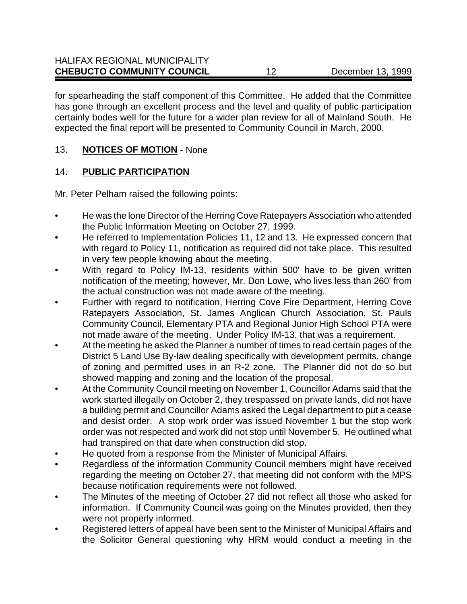for spearheading the staff component of this Committee. He added that the Committee has gone through an excellent process and the level and quality of public participation certainly bodes well for the future for a wider plan review for all of Mainland South. He expected the final report will be presented to Community Council in March, 2000.

# 13. **NOTICES OF MOTION** - None

# 14. **PUBLIC PARTICIPATION**

Mr. Peter Pelham raised the following points:

- He was the lone Director of the Herring Cove Ratepayers Association who attended the Public Information Meeting on October 27, 1999.
- **•** He referred to Implementation Policies 11, 12 and 13. He expressed concern that with regard to Policy 11, notification as required did not take place. This resulted in very few people knowing about the meeting.
- With regard to Policy IM-13, residents within 500' have to be given written notification of the meeting; however, Mr. Don Lowe, who lives less than 260' from the actual construction was not made aware of the meeting.
- Further with regard to notification, Herring Cove Fire Department, Herring Cove Ratepayers Association, St. James Anglican Church Association, St. Pauls Community Council, Elementary PTA and Regional Junior High School PTA were not made aware of the meeting. Under Policy IM-13, that was a requirement.
- At the meeting he asked the Planner a number of times to read certain pages of the District 5 Land Use By-law dealing specifically with development permits, change of zoning and permitted uses in an R-2 zone. The Planner did not do so but showed mapping and zoning and the location of the proposal.
- At the Community Council meeting on November 1, Councillor Adams said that the work started illegally on October 2, they trespassed on private lands, did not have a building permit and Councillor Adams asked the Legal department to put a cease and desist order. A stop work order was issued November 1 but the stop work order was not respected and work did not stop until November 5. He outlined what had transpired on that date when construction did stop.
- He quoted from a response from the Minister of Municipal Affairs.
- Regardless of the information Community Council members might have received regarding the meeting on October 27, that meeting did not conform with the MPS because notification requirements were not followed.
- The Minutes of the meeting of October 27 did not reflect all those who asked for information. If Community Council was going on the Minutes provided, then they were not properly informed.
- Registered letters of appeal have been sent to the Minister of Municipal Affairs and the Solicitor General questioning why HRM would conduct a meeting in the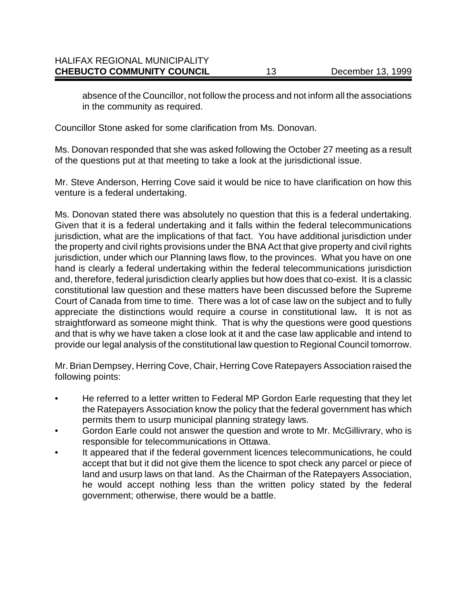absence of the Councillor, not follow the process and not inform all the associations in the community as required.

Councillor Stone asked for some clarification from Ms. Donovan.

Ms. Donovan responded that she was asked following the October 27 meeting as a result of the questions put at that meeting to take a look at the jurisdictional issue.

Mr. Steve Anderson, Herring Cove said it would be nice to have clarification on how this venture is a federal undertaking.

Ms. Donovan stated there was absolutely no question that this is a federal undertaking. Given that it is a federal undertaking and it falls within the federal telecommunications jurisdiction, what are the implications of that fact. You have additional jurisdiction under the property and civil rights provisions under the BNA Act that give property and civil rights jurisdiction, under which our Planning laws flow, to the provinces. What you have on one hand is clearly a federal undertaking within the federal telecommunications jurisdiction and, therefore, federal jurisdiction clearly applies but how does that co-exist. It is a classic constitutional law question and these matters have been discussed before the Supreme Court of Canada from time to time. There was a lot of case law on the subject and to fully appreciate the distinctions would require a course in constitutional law**.** It is not as straightforward as someone might think. That is why the questions were good questions and that is why we have taken a close look at it and the case law applicable and intend to provide our legal analysis of the constitutional law question to Regional Council tomorrow.

Mr. Brian Dempsey, Herring Cove, Chair, Herring Cove Ratepayers Association raised the following points:

- He referred to a letter written to Federal MP Gordon Earle requesting that they let the Ratepayers Association know the policy that the federal government has which permits them to usurp municipal planning strategy laws.
- Gordon Earle could not answer the question and wrote to Mr. McGillivrary, who is responsible for telecommunications in Ottawa.
- It appeared that if the federal government licences telecommunications, he could accept that but it did not give them the licence to spot check any parcel or piece of land and usurp laws on that land. As the Chairman of the Ratepayers Association, he would accept nothing less than the written policy stated by the federal government; otherwise, there would be a battle.